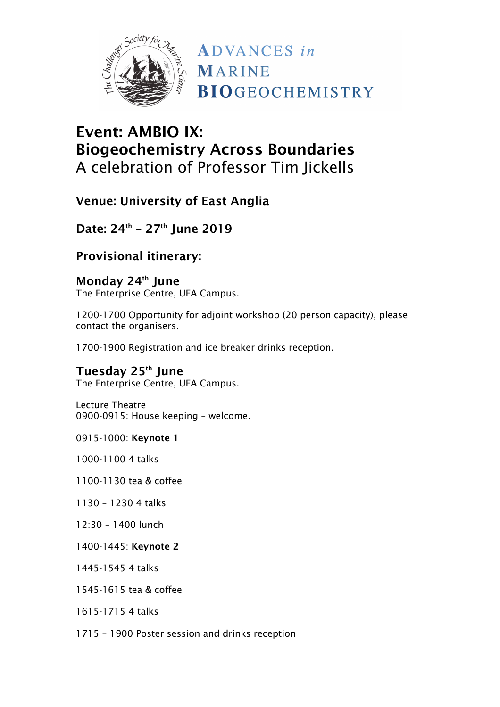

## Event: AMBIO IX: Biogeochemistry Across Boundaries A celebration of Professor Tim Jickells

Venue: University of East Anglia

Date: 24<sup>th</sup> - 27<sup>th</sup> June 2019

Provisional itinerary:

Monday 24<sup>th</sup> June The Enterprise Centre, UEA Campus.

1200-1700 Opportunity for adjoint workshop (20 person capacity), please contact the organisers.

1700-1900 Registration and ice breaker drinks reception.

Tuesday 25<sup>th</sup> June The Enterprise Centre, UEA Campus.

Lecture Theatre 0900-0915: House keeping – welcome.

0915-1000: Keynote 1

1000-1100 4 talks

1100-1130 tea & coffee

1130 – 1230 4 talks

12:30 – 1400 lunch

1400-1445: Keynote 2

1445-1545 4 talks

1545-1615 tea & coffee

1615-1715 4 talks

1715 – 1900 Poster session and drinks reception